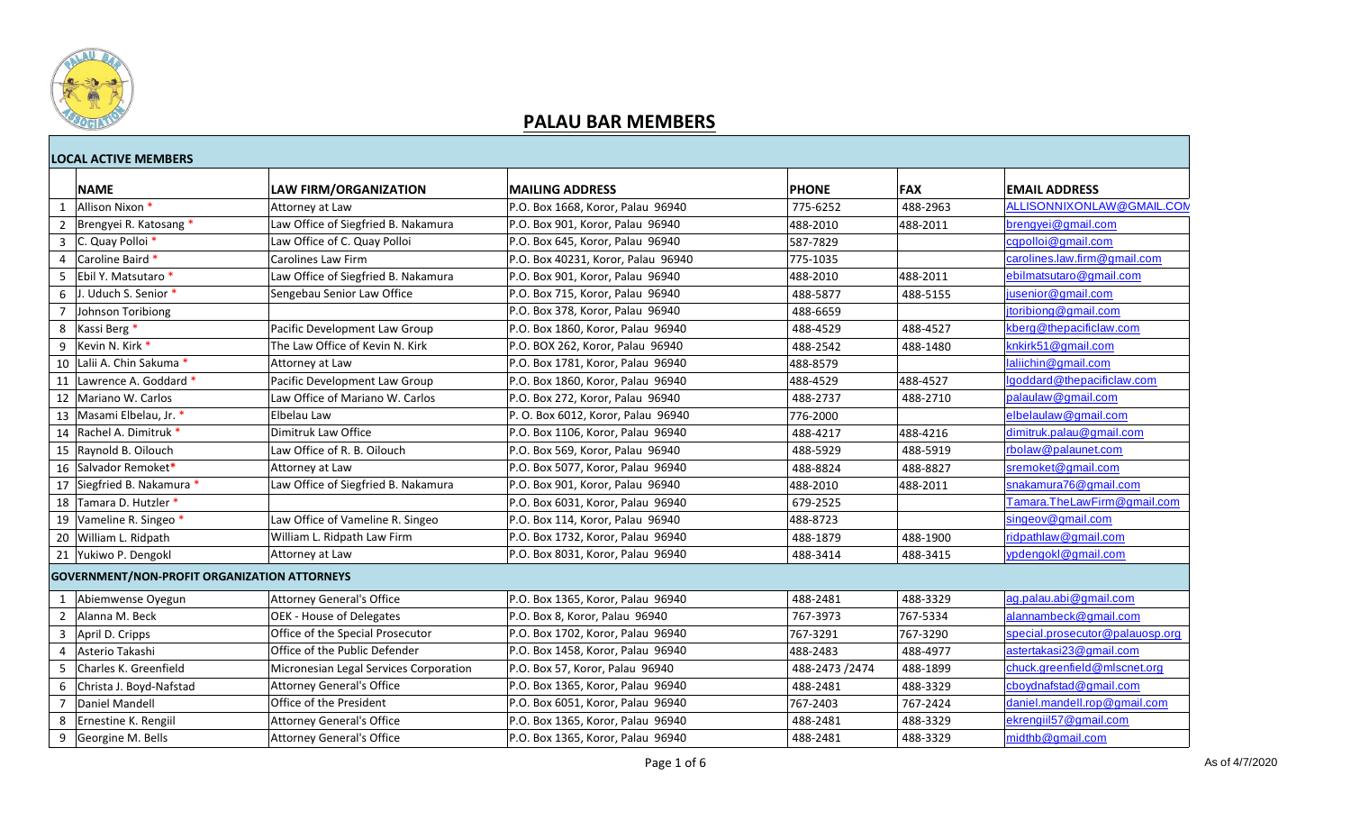

|              | <b>LOCAL ACTIVE MEMBERS</b>                         |                                        |                                    |                |          |                                 |  |  |
|--------------|-----------------------------------------------------|----------------------------------------|------------------------------------|----------------|----------|---------------------------------|--|--|
|              | <b>NAME</b>                                         | <b>LAW FIRM/ORGANIZATION</b>           | <b>MAILING ADDRESS</b>             | <b>PHONE</b>   | FAX      | <b>EMAIL ADDRESS</b>            |  |  |
| $\mathbf{1}$ | Allison Nixon *                                     | Attorney at Law                        | P.O. Box 1668, Koror, Palau 96940  | 775-6252       | 488-2963 | ALLISONNIXONLAW@GMAIL.COM       |  |  |
|              | Brengyei R. Katosang *                              | Law Office of Siegfried B. Nakamura    | P.O. Box 901, Koror, Palau 96940   | 488-2010       | 488-2011 | brengyei@gmail.com              |  |  |
| $\mathbf{3}$ | C. Quay Polloi *                                    | Law Office of C. Quay Polloi           | P.O. Box 645, Koror, Palau 96940   | 587-7829       |          | cqpolloi@gmail.com              |  |  |
| 4            | Caroline Baird *                                    | <b>Carolines Law Firm</b>              | P.O. Box 40231, Koror, Palau 96940 | 775-1035       |          | carolines.law.firm@gmail.com    |  |  |
| 5            | Ebil Y. Matsutaro *                                 | Law Office of Siegfried B. Nakamura    | P.O. Box 901. Koror. Palau 96940   | 488-2010       | 488-2011 | ebilmatsutaro@gmail.com         |  |  |
| 6            | J. Uduch S. Senior *                                | Sengebau Senior Law Office             | P.O. Box 715, Koror, Palau 96940   | 488-5877       | 488-5155 | jusenior@gmail.com              |  |  |
| 7            | Johnson Toribiong                                   |                                        | P.O. Box 378, Koror, Palau 96940   | 488-6659       |          | jtoribiong@gmail.com            |  |  |
| 8            | Kassi Berg *                                        | Pacific Development Law Group          | P.O. Box 1860, Koror, Palau 96940  | 488-4529       | 488-4527 | kberg@thepacificlaw.com         |  |  |
| 9            | Kevin N. Kirk *                                     | The Law Office of Kevin N. Kirk        | P.O. BOX 262, Koror, Palau 96940   | 488-2542       | 488-1480 | knkirk51@gmail.com              |  |  |
|              | 10 Lalii A. Chin Sakuma *                           | Attorney at Law                        | P.O. Box 1781, Koror, Palau 96940  | 488-8579       |          | laliichin@gmail.com             |  |  |
|              | 11 Lawrence A. Goddard *                            | Pacific Development Law Group          | P.O. Box 1860, Koror, Palau 96940  | 488-4529       | 488-4527 | Igoddard@thepacificlaw.com      |  |  |
|              | 12 Mariano W. Carlos                                | Law Office of Mariano W. Carlos        | P.O. Box 272, Koror, Palau 96940   | 488-2737       | 488-2710 | palaulaw@gmail.com              |  |  |
|              | 13   Masami Elbelau, Jr. *                          | Elbelau Law                            | P. O. Box 6012, Koror, Palau 96940 | 776-2000       |          | elbelaulaw@gmail.com            |  |  |
|              | 14 Rachel A. Dimitruk *                             | Dimitruk Law Office                    | P.O. Box 1106, Koror, Palau 96940  | 488-4217       | 488-4216 | dimitruk.palau@gmail.com        |  |  |
|              | 15   Raynold B. Oilouch                             | Law Office of R. B. Oilouch            | P.O. Box 569, Koror, Palau 96940   | 488-5929       | 488-5919 | rbolaw@palaunet.com             |  |  |
|              | 16 Salvador Remoket*                                | Attorney at Law                        | P.O. Box 5077, Koror, Palau 96940  | 488-8824       | 488-8827 | sremoket@gmail.com              |  |  |
|              | 17 Siegfried B. Nakamura *                          | Law Office of Siegfried B. Nakamura    | P.O. Box 901, Koror, Palau 96940   | 488-2010       | 488-2011 | snakamura76@gmail.com           |  |  |
|              | 18 Tamara D. Hutzler *                              |                                        | P.O. Box 6031, Koror, Palau 96940  | 679-2525       |          | Tamara.TheLawFirm@gmail.com     |  |  |
|              | 19 Vameline R. Singeo *                             | Law Office of Vameline R. Singeo       | P.O. Box 114, Koror, Palau 96940   | 488-8723       |          | singeov@gmail.com               |  |  |
|              | 20 William L. Ridpath                               | William L. Ridpath Law Firm            | P.O. Box 1732, Koror, Palau 96940  | 488-1879       | 488-1900 | ridpathlaw@gmail.com            |  |  |
|              | 21 Yukiwo P. Dengokl                                | Attorney at Law                        | P.O. Box 8031, Koror, Palau 96940  | 488-3414       | 488-3415 | ypdengokl@gmail.com             |  |  |
|              | <b>GOVERNMENT/NON-PROFIT ORGANIZATION ATTORNEYS</b> |                                        |                                    |                |          |                                 |  |  |
| 1            | Abiemwense Oyegun                                   | <b>Attorney General's Office</b>       | P.O. Box 1365, Koror, Palau 96940  | 488-2481       | 488-3329 | ag.palau.abi@gmail.com          |  |  |
|              | 2 Alanna M. Beck                                    | OEK - House of Delegates               | P.O. Box 8, Koror, Palau 96940     | 767-3973       | 767-5334 | alannambeck@gmail.com           |  |  |
|              | 3 April D. Cripps                                   | Office of the Special Prosecutor       | P.O. Box 1702, Koror, Palau 96940  | 767-3291       | 767-3290 | special.prosecutor@palauosp.org |  |  |
| 4            | Asterio Takashi                                     | Office of the Public Defender          | P.O. Box 1458, Koror, Palau 96940  | 488-2483       | 488-4977 | astertakasi23@gmail.com         |  |  |
| .5           | Charles K. Greenfield                               | Micronesian Legal Services Corporation | P.O. Box 57, Koror, Palau 96940    | 488-2473 /2474 | 488-1899 | chuck.greenfield@mlscnet.org    |  |  |
| 6            | Christa J. Boyd-Nafstad                             | <b>Attorney General's Office</b>       | P.O. Box 1365, Koror, Palau 96940  | 488-2481       | 488-3329 | cboydnafstad@gmail.com          |  |  |
|              | Daniel Mandell                                      | Office of the President                | P.O. Box 6051, Koror, Palau 96940  | 767-2403       | 767-2424 | daniel.mandell.rop@gmail.com    |  |  |
| 8            | Ernestine K. Rengiil                                | <b>Attorney General's Office</b>       | P.O. Box 1365, Koror, Palau 96940  | 488-2481       | 488-3329 | ekrengiil57@gmail.com           |  |  |
| 9            | Georgine M. Bells                                   | <b>Attorney General's Office</b>       | P.O. Box 1365, Koror, Palau 96940  | 488-2481       | 488-3329 | midthb@gmail.com                |  |  |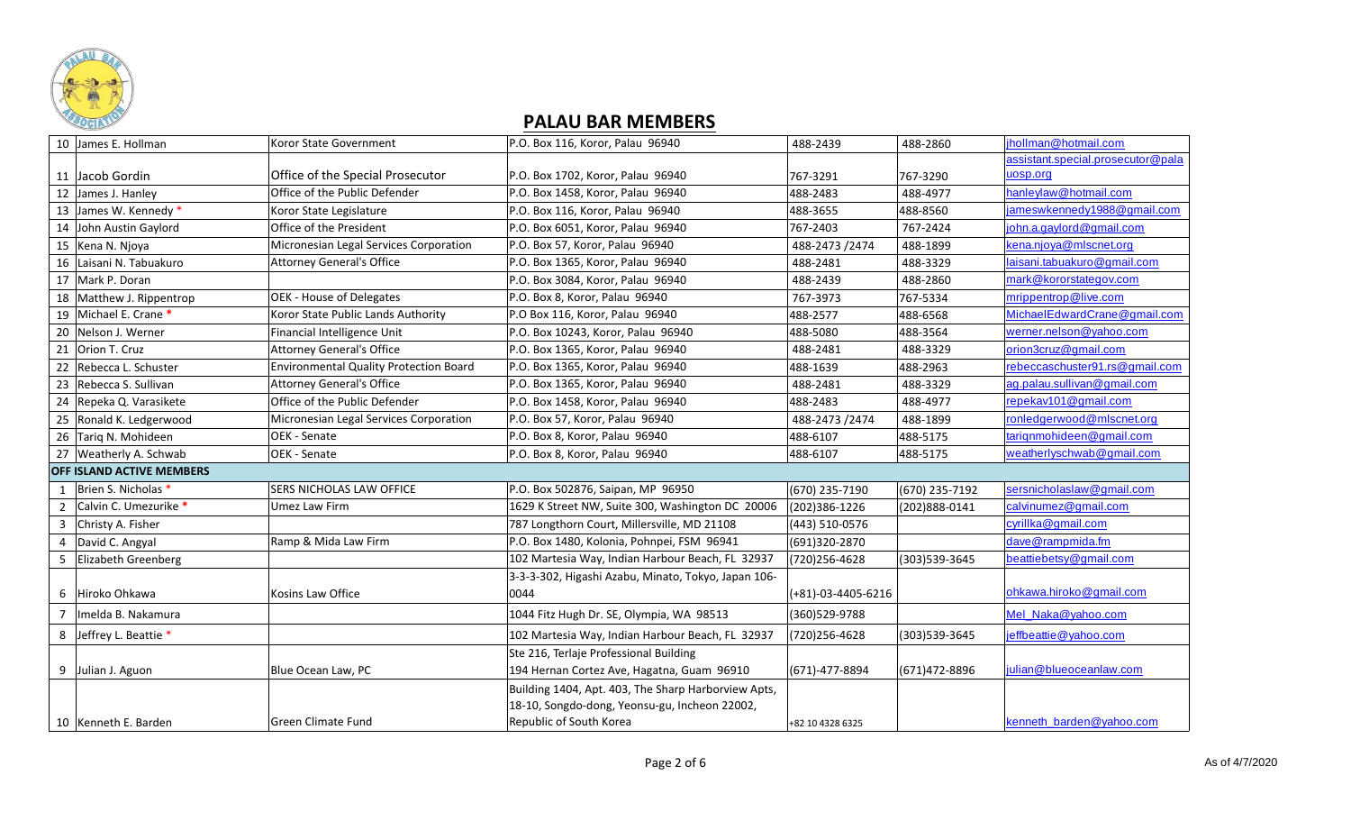

|                | 10 James E. Hollman              | Koror State Government                        | P.O. Box 116, Koror, Palau 96940                    | 488-2439           | 488-2860          | jhollman@hotmail.com              |
|----------------|----------------------------------|-----------------------------------------------|-----------------------------------------------------|--------------------|-------------------|-----------------------------------|
|                |                                  |                                               |                                                     |                    |                   | assistant.special.prosecutor@pala |
|                | 11 Jacob Gordin                  | Office of the Special Prosecutor              | P.O. Box 1702, Koror, Palau 96940                   | 767-3291           | 767-3290          | uosp.org                          |
| 12             | James J. Hanley                  | Office of the Public Defender                 | P.O. Box 1458, Koror, Palau 96940                   | 488-2483           | 488-4977          | hanleylaw@hotmail.com             |
|                | 13 James W. Kennedy *            | Koror State Legislature                       | P.O. Box 116, Koror, Palau 96940                    | 488-3655           | 488-8560          | jameswkennedy1988@gmail.com       |
|                | 14 John Austin Gaylord           | Office of the President                       | P.O. Box 6051, Koror, Palau 96940                   | 767-2403           | 767-2424          | john.a.gaylord@gmail.com          |
|                | 15   Kena N. Njoya               | Micronesian Legal Services Corporation        | P.O. Box 57, Koror, Palau 96940                     | 488-2473 /2474     | 488-1899          | kena.njoya@mlscnet.org            |
|                | 16 Laisani N. Tabuakuro          | <b>Attorney General's Office</b>              | P.O. Box 1365, Koror, Palau 96940                   | 488-2481           | 488-3329          | laisani.tabuakuro@gmail.com       |
| 17             | Mark P. Doran                    |                                               | P.O. Box 3084, Koror, Palau 96940                   | 488-2439           | 488-2860          | mark@kororstategov.com            |
| 18             | Matthew J. Rippentrop            | OEK - House of Delegates                      | P.O. Box 8, Koror, Palau 96940                      | 767-3973           | 767-5334          | mrippentrop@live.com              |
|                | 19 Michael E. Crane *            | Koror State Public Lands Authority            | P.O Box 116, Koror, Palau 96940                     | 488-2577           | 488-6568          | MichaelEdwardCrane@gmail.com      |
|                | 20 Nelson J. Werner              | Financial Intelligence Unit                   | P.O. Box 10243, Koror, Palau 96940                  | 488-5080           | 488-3564          | werner.nelson@yahoo.com           |
|                | 21 Orion T. Cruz                 | <b>Attorney General's Office</b>              | P.O. Box 1365, Koror, Palau 96940                   | 488-2481           | 488-3329          | orion3cruz@gmail.com              |
| 22             | Rebecca L. Schuster              | <b>Environmental Quality Protection Board</b> | P.O. Box 1365, Koror, Palau 96940                   | 488-1639           | 488-2963          | rebeccaschuster91.rs@gmail.com    |
| 23             | Rebecca S. Sullivan              | <b>Attorney General's Office</b>              | P.O. Box 1365, Koror, Palau 96940                   | 488-2481           | 488-3329          | ag.palau.sullivan@gmail.com       |
| 24             | Repeka Q. Varasikete             | Office of the Public Defender                 | P.O. Box 1458, Koror, Palau 96940                   | 488-2483           | 488-4977          | repekav101@gmail.com              |
| 25             | Ronald K. Ledgerwood             | Micronesian Legal Services Corporation        | P.O. Box 57, Koror, Palau 96940                     | 488-2473 /2474     | 488-1899          | ronledgerwood@mlscnet.org         |
|                | 26 Tarig N. Mohideen             | OEK - Senate                                  | P.O. Box 8, Koror, Palau 96940                      | 488-6107           | 488-5175          | tariqnmohideen@gmail.com          |
|                | 27 Weatherly A. Schwab           | OEK - Senate                                  | P.O. Box 8, Koror, Palau 96940                      | 488-6107           | 488-5175          | weatherlyschwab@gmail.com         |
|                | <b>OFF ISLAND ACTIVE MEMBERS</b> |                                               |                                                     |                    |                   |                                   |
| $\mathbf{1}$   | Brien S. Nicholas *              | <b>SERS NICHOLAS LAW OFFICE</b>               | P.O. Box 502876, Saipan, MP 96950                   | (670) 235-7190     | (670) 235-7192    | sersnicholaslaw@gmail.com         |
| $\overline{2}$ | Calvin C. Umezurike *            | Umez Law Firm                                 | 1629 K Street NW, Suite 300, Washington DC 20006    | (202)386-1226      | $(202)888 - 0141$ | calvinumez@gmail.com              |
| 3              | Christy A. Fisher                |                                               | 787 Longthorn Court, Millersville, MD 21108         | (443) 510-0576     |                   | cyrillka@gmail.com                |
|                | David C. Angyal                  | Ramp & Mida Law Firm                          | P.O. Box 1480, Kolonia, Pohnpei, FSM 96941          | (691)320-2870      |                   | dave@rampmida.fm                  |
| 5              | Elizabeth Greenberg              |                                               | 102 Martesia Way, Indian Harbour Beach, FL 32937    | (720) 256-4628     | (303)539-3645     | beattiebetsy@gmail.com            |
|                |                                  |                                               | 3-3-3-302, Higashi Azabu, Minato, Tokyo, Japan 106- |                    |                   |                                   |
| 6              | Hiroko Ohkawa                    | Kosins Law Office                             | 0044                                                | (+81)-03-4405-6216 |                   | ohkawa.hiroko@gmail.com           |
|                | Imelda B. Nakamura               |                                               | 1044 Fitz Hugh Dr. SE, Olympia, WA 98513            | (360)529-9788      |                   | Mel_Naka@yahoo.com                |
|                | 8 Jeffrey L. Beattie *           |                                               | 102 Martesia Way, Indian Harbour Beach, FL 32937    | (720)256-4628      | (303)539-3645     | jeffbeattie@yahoo.com             |
|                |                                  |                                               | Ste 216, Terlaje Professional Building              |                    |                   |                                   |
|                | 9 Julian J. Aguon                | Blue Ocean Law, PC                            | 194 Hernan Cortez Ave, Hagatna, Guam 96910          | (671)-477-8894     | (671)472-8896     | julian@blueoceanlaw.com           |
|                |                                  |                                               | Building 1404, Apt. 403, The Sharp Harborview Apts, |                    |                   |                                   |
|                |                                  |                                               | 18-10, Songdo-dong, Yeonsu-gu, Incheon 22002,       |                    |                   |                                   |
|                | 10 Kenneth E. Barden             | <b>Green Climate Fund</b>                     | Republic of South Korea                             | +82 10 4328 6325   |                   | kenneth barden@yahoo.com          |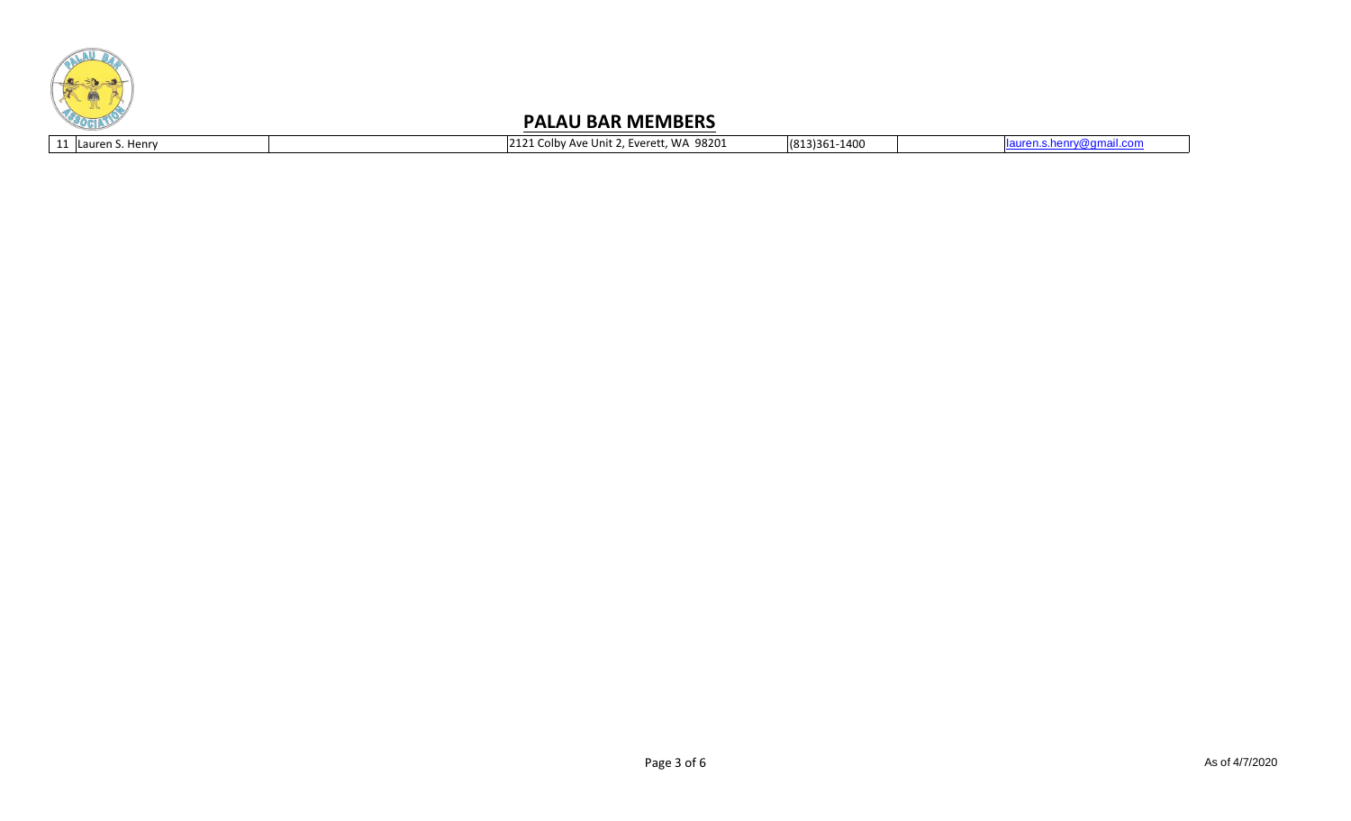

| 11 I Lauren S.<br>Henry | 98201<br>WA<br><b></b><br>'t 2. Everett.<br>olby Ave Unit | (813)361-1400 |  |
|-------------------------|-----------------------------------------------------------|---------------|--|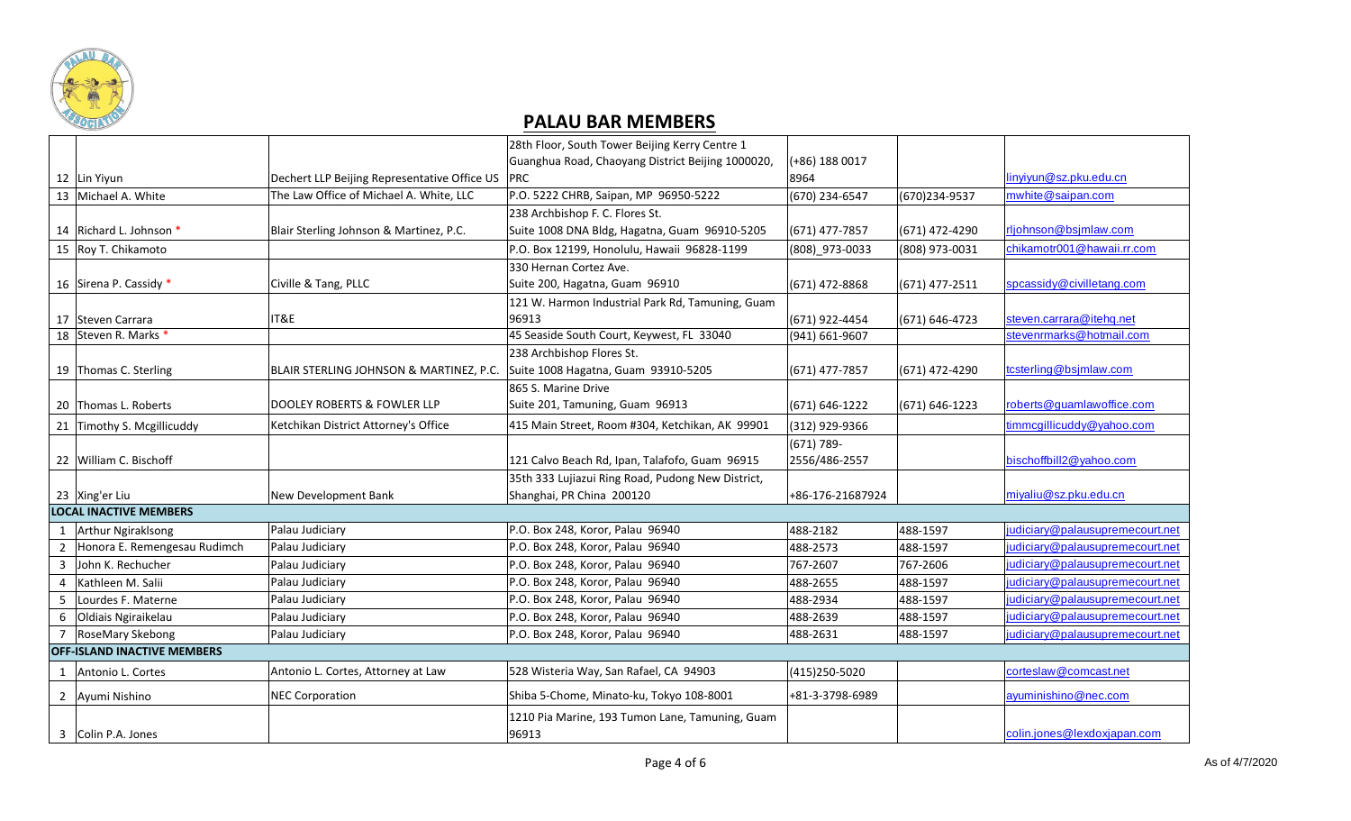

|   |                                    |                                              | 28th Floor, South Tower Beijing Kerry Centre 1    |                  |                |                                 |
|---|------------------------------------|----------------------------------------------|---------------------------------------------------|------------------|----------------|---------------------------------|
|   |                                    |                                              | Guanghua Road, Chaoyang District Beijing 1000020, | (+86) 188 0017   |                |                                 |
|   | 12 Lin Yiyun                       | Dechert LLP Beijing Representative Office US | <b>PRC</b>                                        | 8964             |                | linyiyun@sz.pku.edu.cn          |
|   | 13 Michael A. White                | The Law Office of Michael A. White, LLC      | P.O. 5222 CHRB, Saipan, MP 96950-5222             | (670) 234-6547   | (670)234-9537  | mwhite@saipan.com               |
|   |                                    |                                              | 238 Archbishop F. C. Flores St.                   |                  |                |                                 |
|   | 14 Richard L. Johnson *            | Blair Sterling Johnson & Martinez, P.C.      | Suite 1008 DNA Bldg, Hagatna, Guam 96910-5205     | (671) 477-7857   | (671) 472-4290 | rljohnson@bsjmlaw.com           |
|   | 15 Roy T. Chikamoto                |                                              | P.O. Box 12199, Honolulu, Hawaii 96828-1199       | (808) 973-0033   | (808) 973-0031 | chikamotr001@hawaii.rr.com      |
|   |                                    |                                              | 330 Hernan Cortez Ave.                            |                  |                |                                 |
|   | 16 Sirena P. Cassidy *             | Civille & Tang, PLLC                         | Suite 200, Hagatna, Guam 96910                    | (671) 472-8868   | (671) 477-2511 | spcassidy@civilletang.com       |
|   |                                    |                                              | 121 W. Harmon Industrial Park Rd, Tamuning, Guam  |                  |                |                                 |
|   | 17 Steven Carrara                  | IT&E                                         | 96913                                             | (671) 922-4454   | (671) 646-4723 | steven.carrara@itehq.net        |
|   | 18 Steven R. Marks *               |                                              | 45 Seaside South Court, Keywest, FL 33040         | (941) 661-9607   |                | stevenrmarks@hotmail.com        |
|   |                                    |                                              | 238 Archbishop Flores St.                         |                  |                |                                 |
|   | 19 Thomas C. Sterling              | BLAIR STERLING JOHNSON & MARTINEZ, P.C.      | Suite 1008 Hagatna, Guam 93910-5205               | (671) 477-7857   | (671) 472-4290 | tcsterling@bsjmlaw.com          |
|   |                                    |                                              | 865 S. Marine Drive                               |                  |                |                                 |
|   | 20 Thomas L. Roberts               | DOOLEY ROBERTS & FOWLER LLP                  | Suite 201, Tamuning, Guam 96913                   | (671) 646-1222   | (671) 646-1223 | roberts@guamlawoffice.com       |
|   | 21 Timothy S. Mcgillicuddy         | Ketchikan District Attorney's Office         | 415 Main Street, Room #304, Ketchikan, AK 99901   | (312) 929-9366   |                | timmcgillicuddy@yahoo.com       |
|   |                                    |                                              |                                                   | $(671) 789 -$    |                |                                 |
|   | 22 William C. Bischoff             |                                              | 121 Calvo Beach Rd, Ipan, Talafofo, Guam 96915    | 2556/486-2557    |                | bischoffbill2@yahoo.com         |
|   |                                    |                                              | 35th 333 Lujiazui Ring Road, Pudong New District, |                  |                |                                 |
|   | 23 Xing'er Liu                     | New Development Bank                         | Shanghai, PR China 200120                         | +86-176-21687924 |                | miyaliu@sz.pku.edu.cn           |
|   | <b>LOCAL INACTIVE MEMBERS</b>      |                                              |                                                   |                  |                |                                 |
| 1 | Arthur Ngiraklsong                 | Palau Judiciary                              | P.O. Box 248, Koror, Palau 96940                  | 488-2182         | 488-1597       | judiciary@palausupremecourt.net |
|   | Honora E. Remengesau Rudimch       | Palau Judiciary                              | P.O. Box 248, Koror, Palau 96940                  | 488-2573         | 488-1597       | judiciary@palausupremecourt.net |
| 3 | John K. Rechucher                  | Palau Judiciary                              | P.O. Box 248, Koror, Palau 96940                  | 767-2607         | 767-2606       | judiciary@palausupremecourt.net |
| 4 | Kathleen M. Salii                  | Palau Judiciary                              | P.O. Box 248, Koror, Palau 96940                  | 488-2655         | 488-1597       | judiciary@palausupremecourt.net |
|   | Lourdes F. Materne                 | Palau Judiciary                              | P.O. Box 248, Koror, Palau 96940                  | 488-2934         | 488-1597       | judiciary@palausupremecourt.net |
|   | Oldiais Ngiraikelau                | Palau Judiciary                              | P.O. Box 248, Koror, Palau 96940                  | 488-2639         | 488-1597       | judiciary@palausupremecourt.net |
|   | 7 RoseMary Skebong                 | Palau Judiciary                              | P.O. Box 248, Koror, Palau 96940                  | 488-2631         | 488-1597       | judiciary@palausupremecourt.net |
|   | <b>OFF-ISLAND INACTIVE MEMBERS</b> |                                              |                                                   |                  |                |                                 |
|   | 1 Antonio L. Cortes                | Antonio L. Cortes, Attorney at Law           | 528 Wisteria Way, San Rafael, CA 94903            | (415) 250-5020   |                | corteslaw@comcast.net           |
|   | 2 Ayumi Nishino                    | <b>NEC Corporation</b>                       | Shiba 5-Chome, Minato-ku, Tokyo 108-8001          | +81-3-3798-6989  |                | ayuminishino@nec.com            |
|   |                                    |                                              | 1210 Pia Marine, 193 Tumon Lane, Tamuning, Guam   |                  |                |                                 |
|   | 3 Colin P.A. Jones                 |                                              | 96913                                             |                  |                | colin.jones@lexdoxjapan.com     |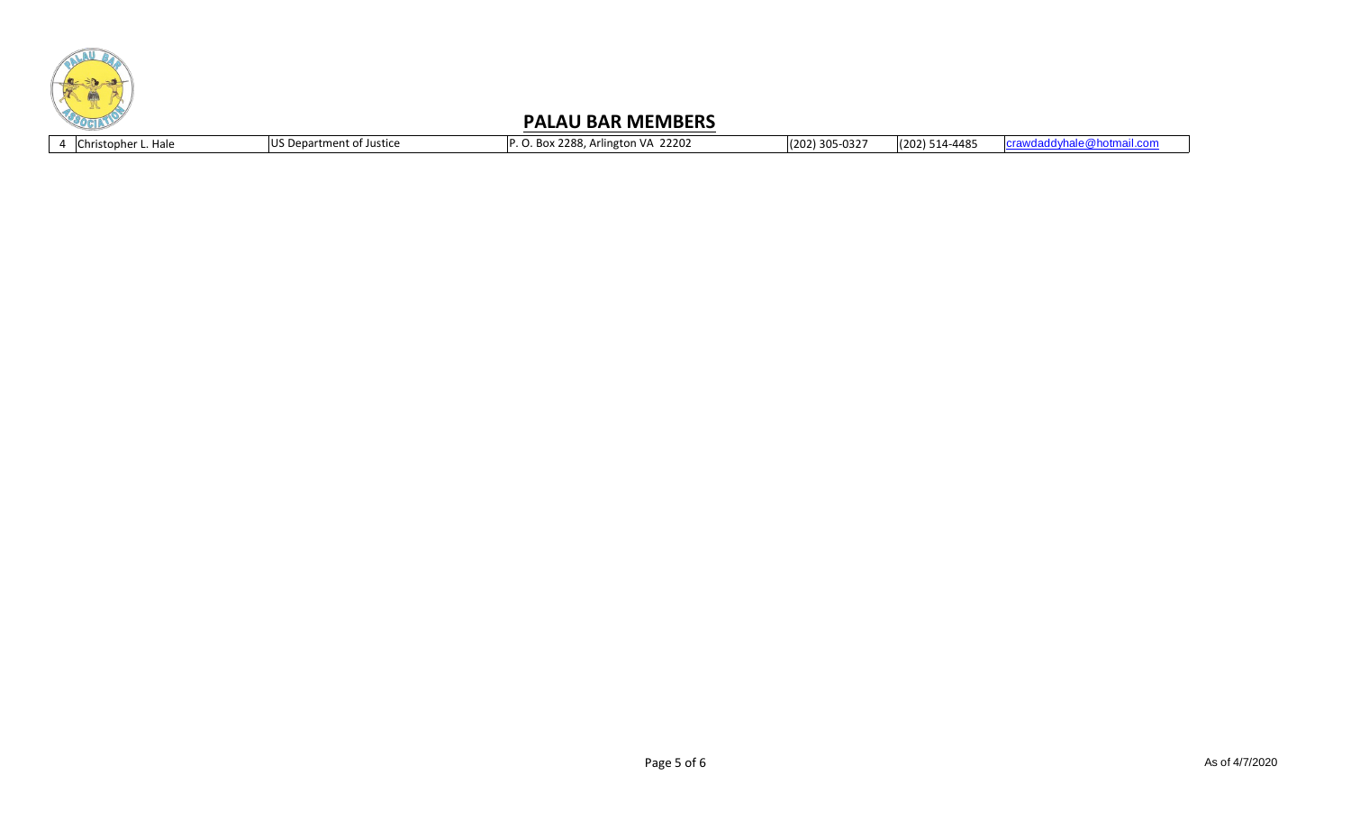

4 Christopher L. Hale VS Department of Justice P. O. Box 2288, Arlington VA 22202 (202) 305-0327 (202) 514-4485 [crawdaddyhale@hotmail.com](mailto:crawdaddyhale@hotmail.com)